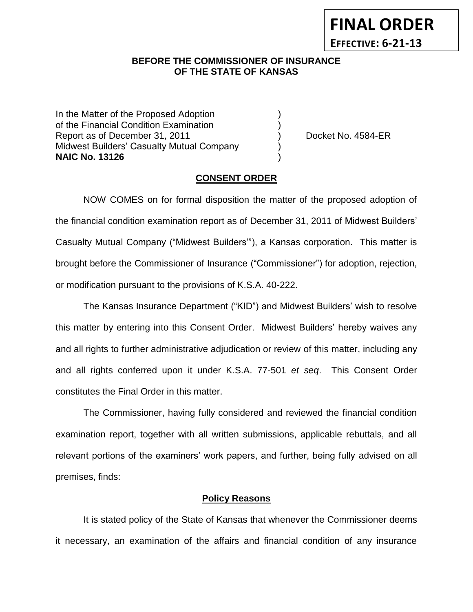## **BEFORE THE COMMISSIONER OF INSURANCE** *-12***OF THE STATE OF KANSAS**

In the Matter of the Proposed Adoption of the Financial Condition Examination ) Report as of December 31, 2011 (and Separate Left No. 4584-ER Midwest Builders' Casualty Mutual Company ) **NAIC No. 13126** )

**FINAL ORDER**

**EFFECTIVE: 6-21-13**

#### **CONSENT ORDER**

NOW COMES on for formal disposition the matter of the proposed adoption of the financial condition examination report as of December 31, 2011 of Midwest Builders' Casualty Mutual Company ("Midwest Builders'"), a Kansas corporation. This matter is brought before the Commissioner of Insurance ("Commissioner") for adoption, rejection, or modification pursuant to the provisions of K.S.A. 40-222.

The Kansas Insurance Department ("KID") and Midwest Builders' wish to resolve this matter by entering into this Consent Order. Midwest Builders' hereby waives any and all rights to further administrative adjudication or review of this matter, including any and all rights conferred upon it under K.S.A. 77-501 *et seq*. This Consent Order constitutes the Final Order in this matter.

The Commissioner, having fully considered and reviewed the financial condition examination report, together with all written submissions, applicable rebuttals, and all relevant portions of the examiners' work papers, and further, being fully advised on all premises, finds:

#### **Policy Reasons**

It is stated policy of the State of Kansas that whenever the Commissioner deems it necessary, an examination of the affairs and financial condition of any insurance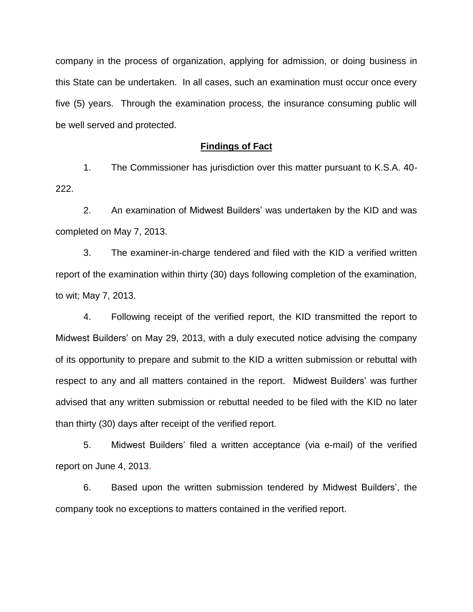company in the process of organization, applying for admission, or doing business in this State can be undertaken. In all cases, such an examination must occur once every five (5) years. Through the examination process, the insurance consuming public will be well served and protected.

#### **Findings of Fact**

1. The Commissioner has jurisdiction over this matter pursuant to K.S.A. 40- 222.

2. An examination of Midwest Builders' was undertaken by the KID and was completed on May 7, 2013.

3. The examiner-in-charge tendered and filed with the KID a verified written report of the examination within thirty (30) days following completion of the examination, to wit; May 7, 2013.

4. Following receipt of the verified report, the KID transmitted the report to Midwest Builders' on May 29, 2013, with a duly executed notice advising the company of its opportunity to prepare and submit to the KID a written submission or rebuttal with respect to any and all matters contained in the report. Midwest Builders' was further advised that any written submission or rebuttal needed to be filed with the KID no later than thirty (30) days after receipt of the verified report.

5. Midwest Builders' filed a written acceptance (via e-mail) of the verified report on June 4, 2013.

6. Based upon the written submission tendered by Midwest Builders', the company took no exceptions to matters contained in the verified report.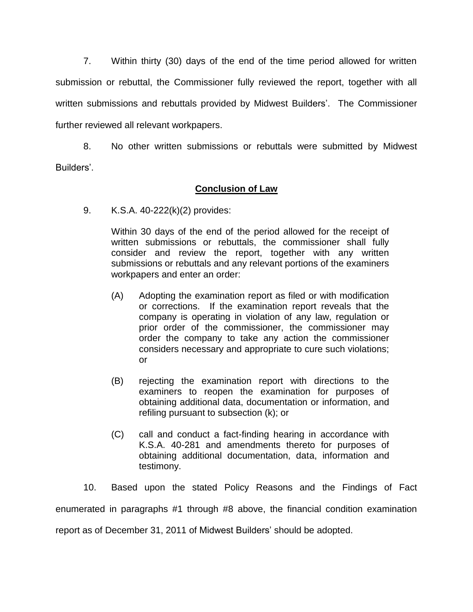7. Within thirty (30) days of the end of the time period allowed for written submission or rebuttal, the Commissioner fully reviewed the report, together with all written submissions and rebuttals provided by Midwest Builders'. The Commissioner further reviewed all relevant workpapers.

8. No other written submissions or rebuttals were submitted by Midwest Builders'.

## **Conclusion of Law**

9. K.S.A. 40-222(k)(2) provides:

Within 30 days of the end of the period allowed for the receipt of written submissions or rebuttals, the commissioner shall fully consider and review the report, together with any written submissions or rebuttals and any relevant portions of the examiners workpapers and enter an order:

- (A) Adopting the examination report as filed or with modification or corrections. If the examination report reveals that the company is operating in violation of any law, regulation or prior order of the commissioner, the commissioner may order the company to take any action the commissioner considers necessary and appropriate to cure such violations; or
- (B) rejecting the examination report with directions to the examiners to reopen the examination for purposes of obtaining additional data, documentation or information, and refiling pursuant to subsection (k); or
- (C) call and conduct a fact-finding hearing in accordance with K.S.A. 40-281 and amendments thereto for purposes of obtaining additional documentation, data, information and testimony.

10. Based upon the stated Policy Reasons and the Findings of Fact enumerated in paragraphs #1 through #8 above, the financial condition examination report as of December 31, 2011 of Midwest Builders' should be adopted.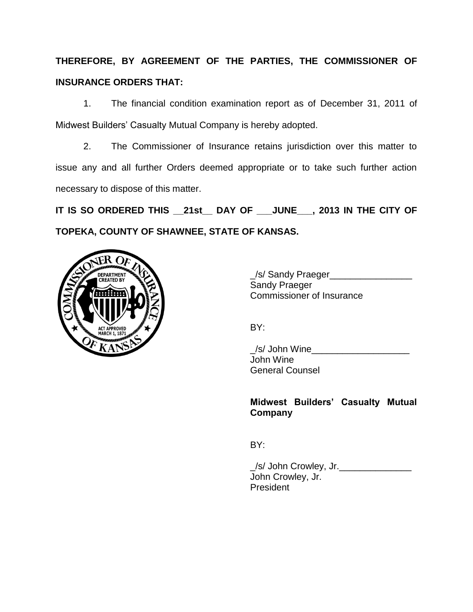# **THEREFORE, BY AGREEMENT OF THE PARTIES, THE COMMISSIONER OF INSURANCE ORDERS THAT:**

1. The financial condition examination report as of December 31, 2011 of Midwest Builders' Casualty Mutual Company is hereby adopted.

2. The Commissioner of Insurance retains jurisdiction over this matter to issue any and all further Orders deemed appropriate or to take such further action necessary to dispose of this matter.

**IT IS SO ORDERED THIS \_\_21st\_\_ DAY OF \_\_\_JUNE\_\_\_, 2013 IN THE CITY OF TOPEKA, COUNTY OF SHAWNEE, STATE OF KANSAS.**



/s/ Sandy Praeger Sandy Praeger Commissioner of Insurance

BY:

/s/ John Wine John Wine General Counsel

## **Midwest Builders' Casualty Mutual Company**

BY:

\_/s/ John Crowley, Jr.\_\_\_\_\_\_\_\_\_\_\_\_\_\_ John Crowley, Jr. President